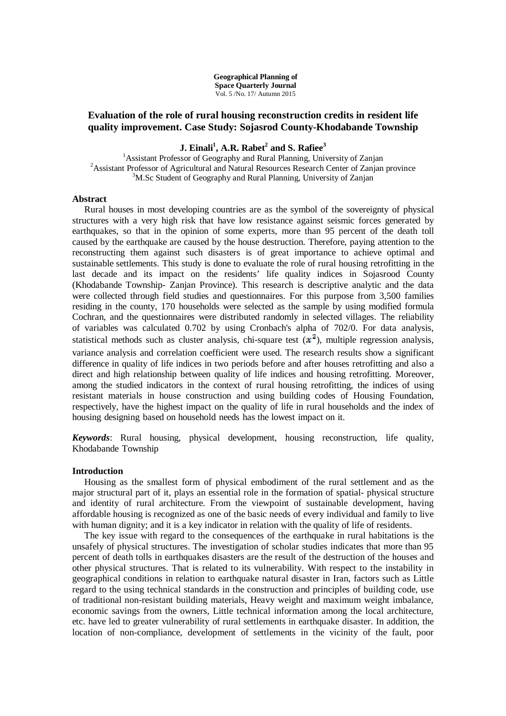**Geographical Planning of Space Quarterly Journal** Vol. 5 /No. 17/ Autumn 2015

# **Evaluation of the role of rural housing reconstruction credits in resident life quality improvement. Case Study: Sojasrod County-Khodabande Township**

**J. Einali<sup>1</sup> , A.R. Rabet<sup>2</sup> and S. Rafiee<sup>3</sup>**

<sup>1</sup> Assistant Professor of Geography and Rural Planning, University of Zanjan <sup>2</sup>Assistant Professor of Agricultural and Natural Resources Research Center of Zanjan province <sup>3</sup>M.Sc Student of Geography and Rural Planning, University of Zanjan

### **Abstract**

Rural houses in most developing countries are as the symbol of the sovereignty of physical structures with a very high risk that have low resistance against seismic forces generated by earthquakes, so that in the opinion of some experts, more than 95 percent of the death toll caused by the earthquake are caused by the house destruction. Therefore, paying attention to the reconstructing them against such disasters is of great importance to achieve optimal and sustainable settlements. This study is done to evaluate the role of rural housing retrofitting in the last decade and its impact on the residents' life quality indices in Sojasrood County (Khodabande Township- Zanjan Province). This research is descriptive analytic and the data were collected through field studies and questionnaires. For this purpose from 3,500 families residing in the county, 170 households were selected as the sample by using modified formula Cochran, and the questionnaires were distributed randomly in selected villages. The reliability of variables was calculated 0.702 by using Cronbach's alpha of 702/0. For data analysis, statistical methods such as cluster analysis, chi-square test  $(x^2)$ , multiple regression analysis, variance analysis and correlation coefficient were used. The research results show a significant difference in quality of life indices in two periods before and after houses retrofitting and also a direct and high relationship between quality of life indices and housing retrofitting. Moreover, among the studied indicators in the context of rural housing retrofitting, the indices of using resistant materials in house construction and using building codes of Housing Foundation, respectively, have the highest impact on the quality of life in rural households and the index of housing designing based on household needs has the lowest impact on it.

*Keywords*: Rural housing, physical development, housing reconstruction, life quality, Khodabande Township

#### **Introduction**

Housing as the smallest form of physical embodiment of the rural settlement and as the major structural part of it, plays an essential role in the formation of spatial- physical structure and identity of rural architecture. From the viewpoint of sustainable development, having affordable housing is recognized as one of the basic needs of every individual and family to live with human dignity; and it is a key indicator in relation with the quality of life of residents.

The key issue with regard to the consequences of the earthquake in rural habitations is the unsafely of physical structures. The investigation of scholar studies indicates that more than 95 percent of death tolls in earthquakes disasters are the result of the destruction of the houses and other physical structures. That is related to its vulnerability. With respect to the instability in geographical conditions in relation to earthquake natural disaster in Iran, factors such as Little regard to the using technical standards in the construction and principles of building code, use of traditional non-resistant building materials, Heavy weight and maximum weight imbalance, economic savings from the owners, Little technical information among the local architecture, etc. have led to greater vulnerability of rural settlements in earthquake disaster. In addition, the location of non-compliance, development of settlements in the vicinity of the fault, poor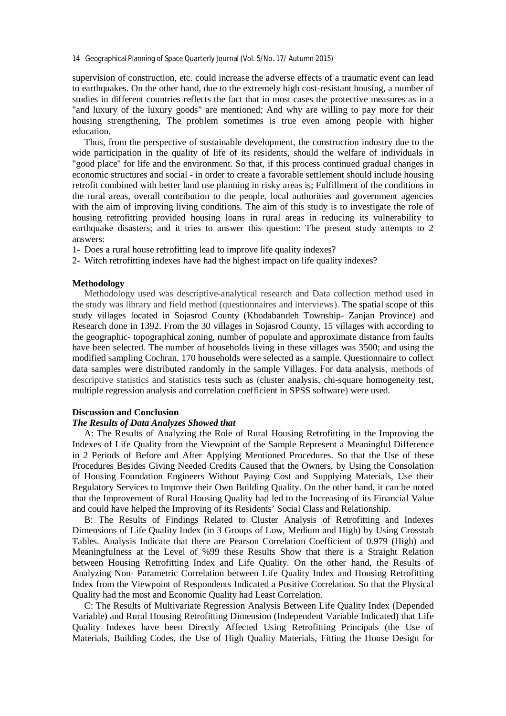14 Geographical Planning of Space Quarterly Journal (Vol. 5/No. 17/ Autumn 2015)

supervision of construction, etc. could increase the adverse effects of a traumatic event can lead to earthquakes. On the other hand, due to the extremely high cost-resistant housing, a number of studies in different countries reflects the fact that in most cases the protective measures as in a "and luxury of the luxury goods" are mentioned; And why are willing to pay more for their housing strengthening, The problem sometimes is true even among people with higher education.

Thus, from the perspective of sustainable development, the construction industry due to the wide participation in the quality of life of its residents, should the welfare of individuals in "good place" for life and the environment. So that, if this process continued gradual changes in economic structures and social - in order to create a favorable settlement should include housing retrofit combined with better land use planning in risky areas is; Fulfillment of the conditions in the rural areas, overall contribution to the people, local authorities and government agencies with the aim of improving living conditions. The aim of this study is to investigate the role of housing retrofitting provided housing loans in rural areas in reducing its vulnerability to earthquake disasters; and it tries to answer this question: The present study attempts to 2 answers:

- 1- Does a rural house retrofitting lead to improve life quality indexes?
- 2- Witch retrofitting indexes have had the highest impact on life quality indexes?

#### **Methodology**

Methodology used was descriptive-analytical research and Data collection method used in the study was library and field method (questionnaires and interviews). The spatial scope of this study villages located in Sojasrod County (Khodabandeh Township- Zanjan Province) and Research done in 1392. From the 30 villages in Sojasrod County, 15 villages with according to the geographic- topographical zoning, number of populate and approximate distance from faults have been selected. The number of households living in these villages was 3500; and using the modified sampling Cochran, 170 households were selected as a sample. Questionnaire to collect data samples were distributed randomly in the sample Villages. For data analysis, methods of descriptive statistics and statistics tests such as (cluster analysis, chi-square homogeneity test, multiple regression analysis and correlation coefficient in SPSS software) were used.

#### **Discussion and Conclusion**

## *The Results of Data Analyzes Showed that*

A: The Results of Analyzing the Role of Rural Housing Retrofitting in the Improving the Indexes of Life Quality from the Viewpoint of the Sample Represent a Meaningful Difference in 2 Periods of Before and After Applying Mentioned Procedures. So that the Use of these Procedures Besides Giving Needed Credits Caused that the Owners, by Using the Consolation of Housing Foundation Engineers Without Paying Cost and Supplying Materials, Use their Regulatory Services to Improve their Own Building Quality. On the other hand, it can be noted that the Improvement of Rural Housing Quality had led to the Increasing of its Financial Value and could have helped the Improving of its Residents' Social Class and Relationship.

B: The Results of Findings Related to Cluster Analysis of Retrofitting and Indexes Dimensions of Life Quality Index (in 3 Groups of Low, Medium and High) by Using Crosstab Tables. Analysis Indicate that there are Pearson Correlation Coefficient of 0.979 (High) and Meaningfulness at the Level of %99 these Results Show that there is a Straight Relation between Housing Retrofitting Index and Life Quality. On the other hand, the Results of Analyzing Non- Parametric Correlation between Life Quality Index and Housing Retrofitting Index from the Viewpoint of Respondents Indicated a Positive Correlation. So that the Physical Quality had the most and Economic Quality had Least Correlation.

C: The Results of Multivariate Regression Analysis Between Life Quality Index (Depended Variable) and Rural Housing Retrofitting Dimension (Independent Variable Indicated) that Life Quality Indexes have been Directly Affected Using Retrofitting Principals (the Use of Materials, Building Codes, the Use of High Quality Materials, Fitting the House Design for